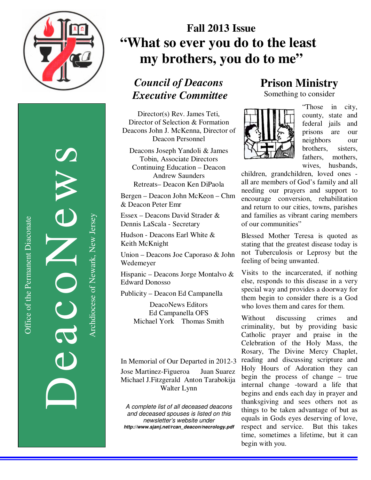

DeacoNews News NEWS Archdiocese of Newark, New Jersey Archdiocese of Newark, New Jersey

# **Fall 2013 Issue "What so ever you do to the least**  my brothers, you do to me"

## *Council of Deacons Executive Committee*

Director(s) Rev. James Teti, Director of Selection & Formation Deacons John J. McKenna, Director of Deacon Personnel

Deacons Joseph Yandoli & James Tobin, Associate Directors Continuing Education – Deacon Andrew Saunders Retreats– Deacon Ken DiPaola

Bergen – Deacon John McKeon – Chm & Deacon Peter Emr

Essex – Deacons David Strader & Dennis LaScala - Secretary

Hudson - Deacons Earl White & Keith McKnight

Union – Deacons Joe Caporaso & John Wedemeyer

Hispanic – Deacons Jorge Montalvo & Edward Donosso

Publicity – Deacon Ed Campanella

DeacoNews Editors Ed Campanella OFS Michael York Thomas Smith

In Memorial of Our Departed in 2012-3

Jose Martinez-Figueroa Juan Suarez Michael J.Fitzgerald Anton Tarabokija Walter Lynn

A complete list of all deceased deacons and deceased spouses is listed on this newsletter's website under *http://www.sjanj.net/rcan\_deacon/necrology.pdf* 

### **Prison Ministry**

Something to consider



"Those in city, county, state and federal jails and prisons are our neighbors our brothers, sisters, fathers, mothers, wives, husbands,

children, grandchildren, loved ones all are members of God's family and all needing our prayers and support to encourage conversion, rehabilitation and return to our cities, towns, parishes and families as vibrant caring members of our communities"

Blessed Mother Teresa is quoted as stating that the greatest disease today is not Tuberculosis or Leprosy but the feeling of being unwanted.

Visits to the incarcerated, if nothing else, responds to this disease in a very special way and provides a doorway for them begin to consider there is a God who loves them and cares for them.

Without discussing crimes and criminality, but by providing basic Catholic prayer and praise in the Celebration of the Holy Mass, the Rosary, The Divine Mercy Chaplet, reading and discussing scripture and Holy Hours of Adoration they can begin the process of change – true internal change -toward a life that begins and ends each day in prayer and thanksgiving and sees others not as things to be taken advantage of but as equals in Gods eyes deserving of love, respect and service. But this takes time, sometimes a lifetime, but it can begin with you.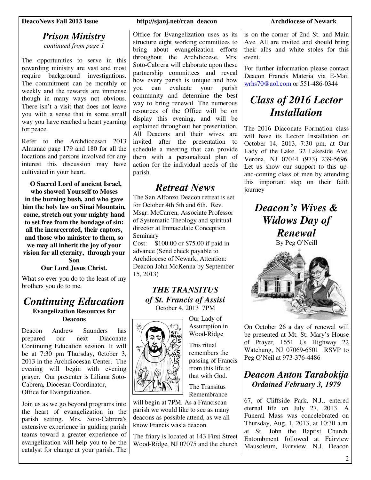#### *Prison Ministry continued from page 1*

The opportunities to serve in this rewarding ministry are vast and most require background investigations. The commitment can be monthly or weekly and the rewards are immense though in many ways not obvious. There isn't a visit that does not leave you with a sense that in some small way you have reached a heart yearning for peace.

Refer to the Archdiocesan 2013 Almanac page 179 and 180 for all the locations and persons involved for any interest this discussion may have cultivated in your heart.

 **O Sacred Lord of ancient Israel, who showed Yourself to Moses in the burning bush, and who gave him the holy law on Sinai Mountain, come, stretch out your mighty hand to set free from the bondage of sin: all the incarcerated, their captors, and those who minister to them, so we may all inherit the joy of your vision for all eternity, through your Son** 

**Our Lord Jesus Christ.** 

What so ever you do to the least of my brothers you do to me.

#### *Continuing Education*  **Evangelization Resources for Deacons**

Deacon Andrew Saunders has prepared our next Diaconate Continuing Education session. It will be at 7:30 pm Thursday, 0ctober 3, 2013 in the Archdiocesan Center. The evening will begin with evening prayer.Our presenter is Liliana Soto-Cabrera*,* Diocesan Coordinator, Office for Evangelization.

Join us as we go beyond programs into the heart of evangelization in the parish setting. Mrs. Soto-Cabrera's extensive experience in guiding parish teams toward a greater experience of evangelization will help you to be the catalyst for change at your parish. The

#### **DeacoNews Fall 2013 Issue http://sjanj.net/rcan\_deacon Archdiocese of Newark**

Office for Evangelization uses as its structure eight working committees to bring about evangelization efforts throughout the Archdiocese. Mrs. Soto-Cabrera will elaborate upon these partnership committees and reveal how every parish is unique and how you can evaluate your parish community and determine the best way to bring renewal. The numerous resources of the Office will be on display this evening, and will be explained throughout her presentation. All Deacons and their wives are invited after the presentation to schedule a meeting that can provide them with a personalized plan of action for the individual needs of the parish.

### *Retreat News*

The San Alfonzo Deacon retreat is set for October 4th 5th and 6th. Rev. Msgr. McCarren, Associate Professor of Systematic Theology and spiritual director at Immaculate Conception Seminary

Cost: \$100.00 or \$75.00 if paid in advance (Send check payable to Archdiocese of Newark, Attention: Deacon John McKenna by September 15, 2013)

#### *THE TRANSITUS of St. Francis of Assisi*  October 4, 2013 7PM

Our Lady of Assumption in Wood-Ridge This ritual remembers the passing of Francis from this life to that with God. The Transitus Remembrance



will begin at 7PM. As a Franciscan parish we would like to see as many deacons as possible attend, as we all know Francis was a deacon.

The friary is located at 143 First Street Wood-Ridge, NJ 07075 and the church

is on the corner of 2nd St. and Main Ave. All are invited and should bring their albs and white stoles for this event.

For further information please contact Deacon Francis Materia via E-Mail wrhs70@aol.com or 551-486-0344

## *Class of 2016 Lector Installation*

The 2016 Diaconate Formation class will have its Lector Installation on October 14, 2013, 7:30 pm, at Our Lady of the Lake. 32 Lakeside Ave, Verona, NJ 07044 (973) 239-5696. Let us show our support to this upand-coming class of men by attending this important step on their faith journey

## *Deacon's Wives & Widows Day of Renewal*

By Peg O'Neill



On October 26 a day of renewal will be presented at Mt. St. Mary's House of Prayer, 1651 Us Highway 22 Watchung, NJ 07069-6501 RSVP to Peg O'Neil at 973-376-4486

### *Deacon Anton Tarabokija Ordained February 3, 1979*

67, of Cliffside Park, N.J., entered eternal life on July 27, 2013. A Funeral Mass was concelebrated on Thursday, Aug. 1, 2013, at 10:30 a.m. at St. John the Baptist Church. Entombment followed at Fairview Mausoleum, Fairview, N.J. Deacon

2